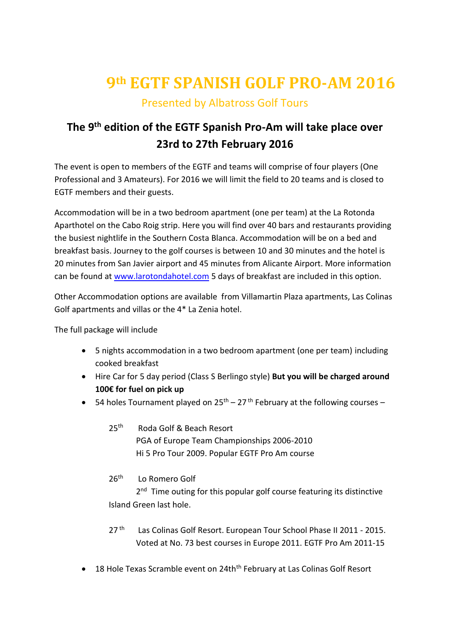# **9th EGTF SPANISH GOLF PRO-AM 2016** Presented by Albatross Golf Tours

## **The 9 th edition of the EGTF Spanish Pro-Am will take place over 23rd to 27th February 2016**

The event is open to members of the EGTF and teams will comprise of four players (One Professional and 3 Amateurs). For 2016 we will limit the field to 20 teams and is closed to EGTF members and their guests.

Accommodation will be in a two bedroom apartment (one per team) at the La Rotonda Aparthotel on the Cabo Roig strip. Here you will find over 40 bars and restaurants providing the busiest nightlife in the Southern Costa Blanca. Accommodation will be on a bed and breakfast basis. Journey to the golf courses is between 10 and 30 minutes and the hotel is 20 minutes from San Javier airport and 45 minutes from Alicante Airport. More information can be found at [www.larotondahotel.com](http://www.larotondahotel.com/) 5 days of breakfast are included in this option.

Other Accommodation options are available from Villamartin Plaza apartments, Las Colinas Golf apartments and villas or the 4\* La Zenia hotel.

The full package will include

- 5 nights accommodation in a two bedroom apartment (one per team) including cooked breakfast
- Hire Car for 5 day period (Class S Berlingo style) **But you will be charged around 100€ for fuel on pick up**
- 54 holes Tournament played on  $25<sup>th</sup> 27<sup>th</sup>$  February at the following courses
	- $25<sup>th</sup>$ Roda Golf & Beach Resort PGA of Europe Team Championships 2006-2010 Hi 5 Pro Tour 2009. Popular EGTF Pro Am course
	- $26<sup>th</sup>$ Lo Romero Golf

2<sup>nd</sup> Time outing for this popular golf course featuring its distinctive Island Green last hole.

- 27 th Las Colinas Golf Resort. European Tour School Phase II 2011 - 2015. Voted at No. 73 best courses in Europe 2011. EGTF Pro Am 2011-15
- 18 Hole Texas Scramble event on 24th<sup>th</sup> February at Las Colinas Golf Resort